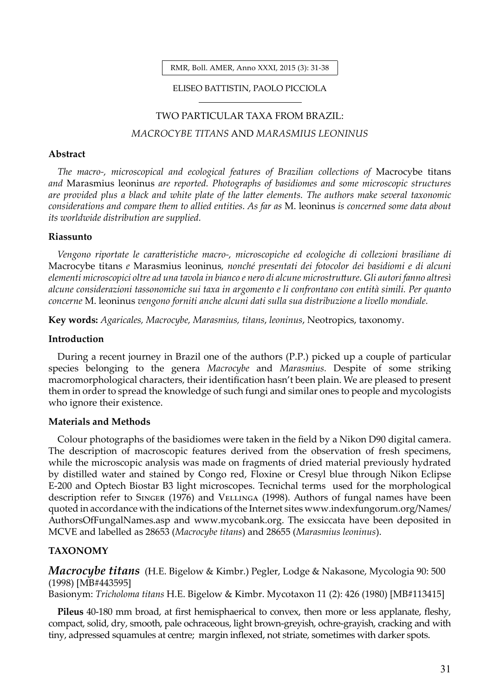RMR, Boll. AMER, Anno XXXI, 2015 (3): 31-38

#### ELISEO BATTISTIN, PAOLO PICCIOLA

# TWO PARTICULAR TAXA FROM BRAZIL:

# *MACROCYBE TITANS* AND *MARASMIUS LEONINUS*

#### **Abstract**

*The macro-, microscopical and ecological features of Brazilian collections of* Macrocybe titans *and* Marasmius leoninus *are reported. Photographs of basidiomes and some microscopic structures are provided plus a black and white plate of the latter elements. The authors make several taxonomic considerations and compare them to allied entities. As far as* M. leoninus *is concerned some data about its worldwide distribution are supplied.* 

### **Riassunto**

*Vengono riportate le caratteristiche macro-, microscopiche ed ecologiche di collezioni brasiliane di*  Macrocybe titans *e* Marasmius leoninus*, nonché presentati dei fotocolor dei basidiomi e di alcuni elementi microscopici oltre ad una tavola in bianco e nero di alcune microstrutture. Gli autori fanno altresì alcune considerazioni tassonomiche sui taxa in argomento e li confrontano con entità simili. Per quanto concerne* M. leoninus *vengono forniti anche alcuni dati sulla sua distribuzione a livello mondiale.*

**Key words:** *Agaricales, Macrocybe, Marasmius, titans*, *leoninus*, Neotropics, taxonomy.

#### **Introduction**

During a recent journey in Brazil one of the authors (P.P.) picked up a couple of particular species belonging to the genera *Macrocybe* and *Marasmius.* Despite of some striking macromorphological characters, their identification hasn't been plain. We are pleased to present them in order to spread the knowledge of such fungi and similar ones to people and mycologists who ignore their existence.

### **Materials and Methods**

Colour photographs of the basidiomes were taken in the field by a Nikon D90 digital camera. The description of macroscopic features derived from the observation of fresh specimens, while the microscopic analysis was made on fragments of dried material previously hydrated by distilled water and stained by Congo red, Floxine or Cresyl blue through Nikon Eclipse E-200 and Optech Biostar B3 light microscopes. Tecnichal terms used for the morphological description refer to Singer (1976) and Vellinga (1998). Authors of fungal names have been quoted in accordance with the indications of the Internet sites www.indexfungorum.org/Names/ AuthorsOfFungalNames.asp and www.mycobank.org. The exsiccata have been deposited in MCVE and labelled as 28653 (*Macrocybe titans*) and 28655 (*Marasmius leoninus*).

# **TAXONOMY**

*Macrocybe titans* (H.E. Bigelow & Kimbr.) Pegler, Lodge & Nakasone, Mycologia 90: 500 (1998) [MB#443595]

Basionym: *Tricholoma titans* H.E. Bigelow & Kimbr. Mycotaxon 11 (2): 426 (1980) [MB#113415]

**Pileus** 40-180 mm broad, at first hemisphaerical to convex, then more or less applanate, fleshy, compact, solid, dry, smooth, pale ochraceous, light brown-greyish, ochre-grayish, cracking and with tiny, adpressed squamules at centre; margin inflexed, not striate, sometimes with darker spots.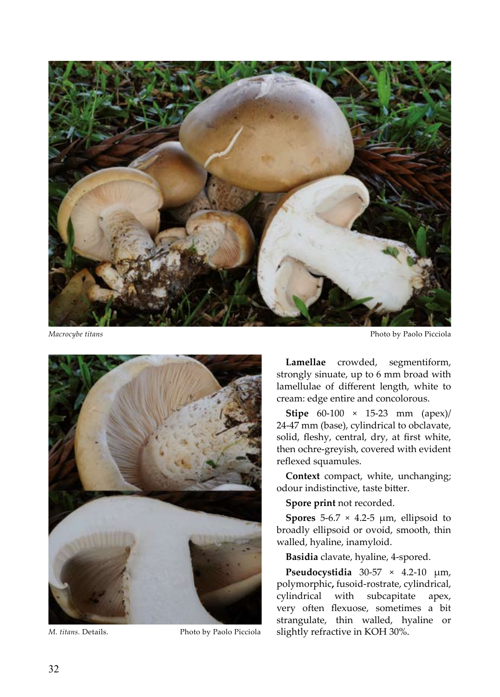



*M. titans.* Details. Photo by Paolo Picciola

*Macrocybe titans* Photo by Paolo Picciola

**Lamellae** crowded, segmentiform, strongly sinuate, up to 6 mm broad with lamellulae of different length, white to cream: edge entire and concolorous.

**Stipe** 60-100 × 15-23 mm (apex)/ 24-47 mm (base), cylindrical to obclavate, solid, fleshy, central, dry, at first white, then ochre-greyish, covered with evident reflexed squamules.

**Context** compact, white, unchanging; odour indistinctive, taste bitter.

**Spore print** not recorded.

**Spores**  $5-6.7 \times 4.2-5 \mu m$ , ellipsoid to broadly ellipsoid or ovoid, smooth, thin walled, hyaline, inamyloid.

**Basidia** clavate, hyaline, 4-spored.

**Pseudocystidia** 30-57 × 4.2-10 µm, polymorphic**,** fusoid-rostrate, cylindrical, cylindrical with subcapitate apex, very often flexuose, sometimes a bit strangulate, thin walled, hyaline or slightly refractive in KOH 30%.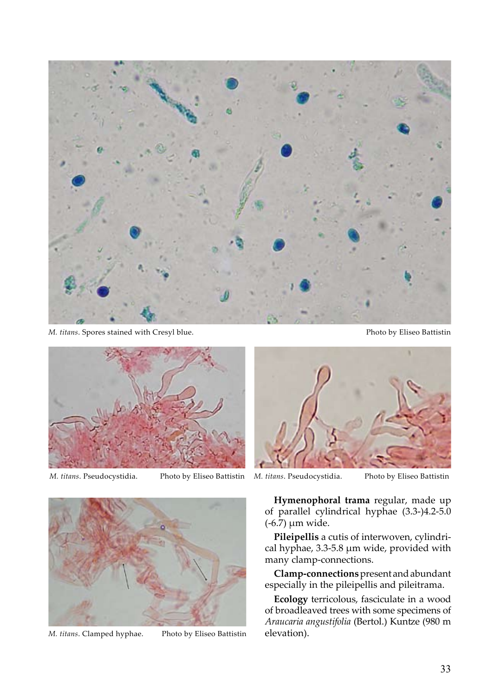

*M. titans*. Spores stained with Cresyl blue. Photo by Eliseo Battistin



*M. titans*. Pseudocystidia. Photo by Eliseo Battistin *M. titans*. Pseudocystidia. Photo by Eliseo Battistin





*M. titans*. Clamped hyphae. Photo by Eliseo Battistin

**Hymenophoral trama** regular, made up of parallel cylindrical hyphae (3.3-)4.2-5.0 (-6.7) µm wide.

**Pileipellis** a cutis of interwoven, cylindrical hyphae, 3.3-5.8 µm wide, provided with many clamp-connections.

**Clamp-connections** present and abundant especially in the pileipellis and pileitrama.

**Ecology** terricolous, fasciculate in a wood of broadleaved trees with some specimens of *Araucaria angustifolia* (Bertol.) Kuntze (980 m elevation).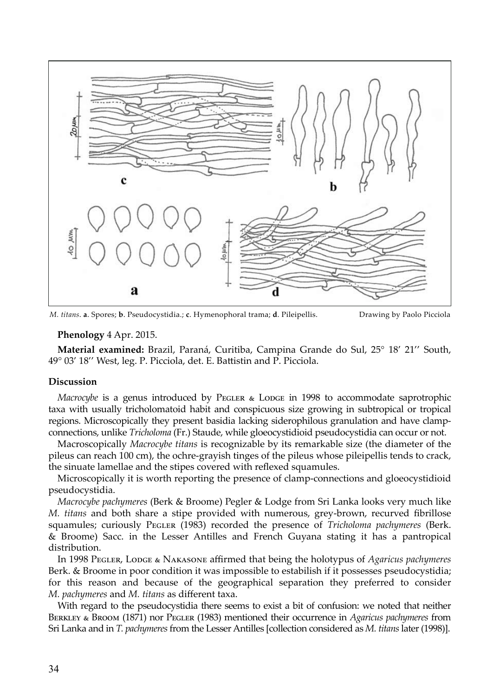

*M. titans*. **a**. Spores; **b**. Pseudocystidia.; **c**. Hymenophoral trama; **d**. Pileipellis. Drawing by Paolo Picciola

# **Phenology** 4 Apr. 2015.

**Material examined:** Brazil, Paraná, Curitiba, Campina Grande do Sul, 25° 18' 21'' South, 49° 03' 18'' West, leg. P. Picciola, det. E. Battistin and P. Picciola.

### **Discussion**

*Macrocybe* is a genus introduced by PEGLER & LODGE in 1998 to accommodate saprotrophic taxa with usually tricholomatoid habit and conspicuous size growing in subtropical or tropical regions. Microscopically they present basidia lacking siderophilous granulation and have clampconnections, unlike *Tricholoma* (Fr.) Staude, while gloeocystidioid pseudocystidia can occur or not.

Macroscopically *Macrocybe titans* is recognizable by its remarkable size (the diameter of the pileus can reach 100 cm), the ochre-grayish tinges of the pileus whose pileipellis tends to crack, the sinuate lamellae and the stipes covered with reflexed squamules.

Microscopically it is worth reporting the presence of clamp-connections and gloeocystidioid pseudocystidia.

*Macrocybe pachymeres* (Berk & Broome) Pegler & Lodge from Sri Lanka looks very much like *M. titans* and both share a stipe provided with numerous, grey-brown, recurved fibrillose squamules; curiously PEGLER (1983) recorded the presence of *Tricholoma pachymeres* (Berk. & Broome) Sacc. in the Lesser Antilles and French Guyana stating it has a pantropical distribution.

In 1998 Pegler, Lodge & Nakasone affirmed that being the holotypus of *Agaricus pachymeres*  Berk. & Broome in poor condition it was impossible to estabilish if it possesses pseudocystidia; for this reason and because of the geographical separation they preferred to consider *M. pachymeres* and *M. titans* as different taxa.

With regard to the pseudocystidia there seems to exist a bit of confusion: we noted that neither Berkley & Broom (1871) nor Pegler (1983) mentioned their occurrence in *Agaricus pachymeres* from Sri Lanka and in *T. pachymeres* from the Lesser Antilles [collection considered as *M. titans* later (1998)].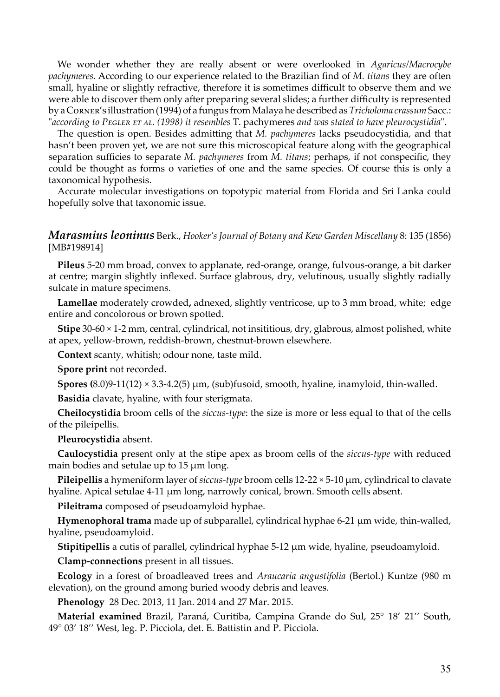We wonder whether they are really absent or were overlooked in *Agaricus/Macrocybe pachymeres*. According to our experience related to the Brazilian find of *M. titans* they are often small, hyaline or slightly refractive, therefore it is sometimes difficult to observe them and we were able to discover them only after preparing several slides; a further difficulty is represented by a Corner's illustration (1994) of a fungus from Malaya he described as *Tricholoma crassum* Sacc*.*: "*according to Pegler et al. (1998) it resembles* T. pachymeres *and was stated to have pleurocystidia*".

The question is open. Besides admitting that *M. pachymeres* lacks pseudocystidia, and that hasn't been proven yet, we are not sure this microscopical feature along with the geographical separation sufficies to separate *M. pachymeres* from *M. titans*; perhaps, if not conspecific, they could be thought as forms o varieties of one and the same species. Of course this is only a taxonomical hypothesis.

Accurate molecular investigations on topotypic material from Florida and Sri Lanka could hopefully solve that taxonomic issue.

# *Marasmius leoninus* Berk., *Hooker's Journal of Botany and Kew Garden Miscellany* 8: 135 (1856) [MB#198914]

**Pileus** 5-20 mm broad, convex to applanate, red-orange, orange, fulvous-orange, a bit darker at centre; margin slightly inflexed. Surface glabrous, dry, velutinous, usually slightly radially sulcate in mature specimens.

**Lamellae** moderately crowded**,** adnexed, slightly ventricose, up to 3 mm broad, white; edge entire and concolorous or brown spotted.

**Stipe** 30-60 × 1-2 mm, central, cylindrical, not insititious, dry, glabrous, almost polished, white at apex, yellow-brown, reddish-brown, chestnut-brown elsewhere.

**Context** scanty, whitish; odour none, taste mild.

**Spore print** not recorded.

**Spores (**8.0)9-11(12)  $\times$  3.3-4.2(5)  $\mu$ m, (sub)fusoid, smooth, hyaline, inamyloid, thin-walled.

**Basidia** clavate, hyaline, with four sterigmata.

**Cheilocystidia** broom cells of the *siccus-type*: the size is more or less equal to that of the cells of the pileipellis.

**Pleurocystidia** absent.

**Caulocystidia** present only at the stipe apex as broom cells of the *siccus-type* with reduced main bodies and setulae up to 15 µm long.

**Pileipellis** a hymeniform layer of *siccus-type* broom cells 12-22 × 5-10 µm, cylindrical to clavate hyaline. Apical setulae 4-11 µm long, narrowly conical, brown. Smooth cells absent.

**Pileitrama** composed of pseudoamyloid hyphae.

**Hymenophoral trama** made up of subparallel, cylindrical hyphae 6-21 µm wide, thin-walled, hyaline, pseudoamyloid.

**Stipitipellis** a cutis of parallel, cylindrical hyphae 5-12 µm wide, hyaline, pseudoamyloid.

**Clamp-connections** present in all tissues.

**Ecology** in a forest of broadleaved trees and *Araucaria angustifolia* (Bertol.) Kuntze (980 m elevation), on the ground among buried woody debris and leaves.

**Phenology** 28 Dec. 2013, 11 Jan. 2014 and 27 Mar. 2015.

**Material examined** Brazil, Paraná, Curitiba, Campina Grande do Sul, 25° 18' 21'' South, 49° 03' 18'' West, leg. P. Picciola, det. E. Battistin and P. Picciola.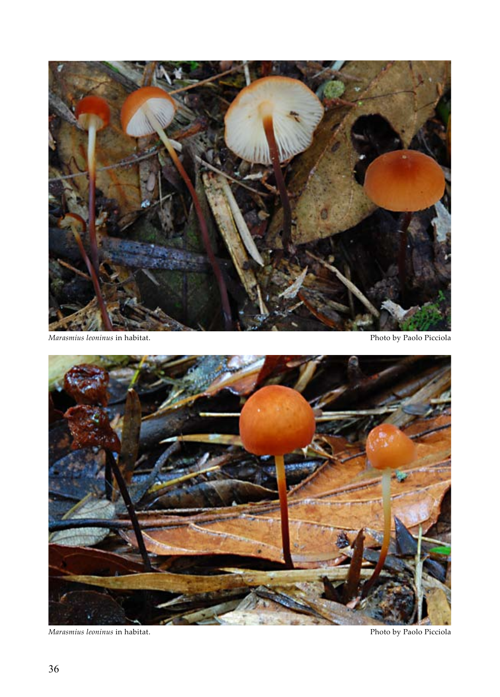

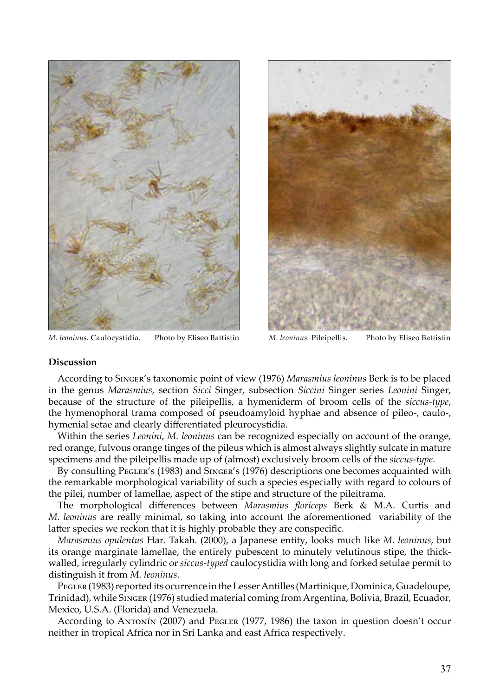

*M. leoninus.* Caulocystidia. Photo by Eliseo Battistin *M. leoninus.* Pileipellis. Photo by Eliseo Battistin



### **Discussion**

According to Singer's taxonomic point of view (1976) *Marasmius leoninus* Berk is to be placed in the genus *Marasmius*, section *Sicci* Singer, subsection *Siccini* Singer series *Leonini* Singer, because of the structure of the pileipellis, a hymeniderm of broom cells of the *siccus-type*, the hymenophoral trama composed of pseudoamyloid hyphae and absence of pileo-, caulo-, hymenial setae and clearly differentiated pleurocystidia.

Within the series *Leonini*, *M. leoninus* can be recognized especially on account of the orange, red orange, fulvous orange tinges of the pileus which is almost always slightly sulcate in mature specimens and the pileipellis made up of (almost) exclusively broom cells of the *siccus-type*.

By consulting PEGLER's (1983) and SINGER's (1976) descriptions one becomes acquainted with the remarkable morphological variability of such a species especially with regard to colours of the pilei, number of lamellae, aspect of the stipe and structure of the pileitrama.

The morphological differences between *Marasmius floriceps* Berk & M.A. Curtis and *M. leoninus* are really minimal, so taking into account the aforementioned variability of the latter species we reckon that it is highly probable they are conspecific.

*Marasmius opulentus* Har. Takah. (2000), a Japanese entity, looks much like *M. leoninus*, but its orange marginate lamellae, the entirely pubescent to minutely velutinous stipe, the thickwalled, irregularly cylindric or *siccus-typed* caulocystidia with long and forked setulae permit to distinguish it from *M. leoninus*.

PEGLER (1983) reported its ocurrence in the Lesser Antilles (Martinique, Dominica, Guadeloupe, Trinidad), while Singer (1976) studied material coming from Argentina, Bolivia, Brazil, Ecuador, Mexico, U.S.A. (Florida) and Venezuela.

According to ANTONIN (2007) and PEGLER (1977, 1986) the taxon in question doesn't occur neither in tropical Africa nor in Sri Lanka and east Africa respectively.